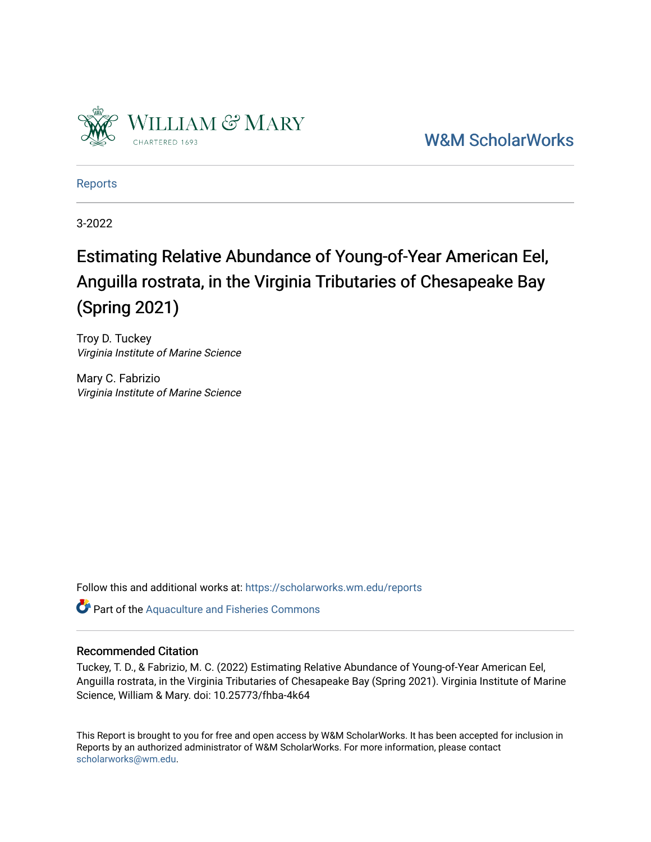

[W&M ScholarWorks](https://scholarworks.wm.edu/) 

[Reports](https://scholarworks.wm.edu/reports)

3-2022

# Estimating Relative Abundance of Young-of-Year American Eel, Anguilla rostrata, in the Virginia Tributaries of Chesapeake Bay (Spring 2021)

Troy D. Tuckey Virginia Institute of Marine Science

Mary C. Fabrizio Virginia Institute of Marine Science

Follow this and additional works at: [https://scholarworks.wm.edu/reports](https://scholarworks.wm.edu/reports?utm_source=scholarworks.wm.edu%2Freports%2F2589&utm_medium=PDF&utm_campaign=PDFCoverPages)

Part of the [Aquaculture and Fisheries Commons](http://network.bepress.com/hgg/discipline/78?utm_source=scholarworks.wm.edu%2Freports%2F2589&utm_medium=PDF&utm_campaign=PDFCoverPages)

# Recommended Citation

Tuckey, T. D., & Fabrizio, M. C. (2022) Estimating Relative Abundance of Young-of-Year American Eel, Anguilla rostrata, in the Virginia Tributaries of Chesapeake Bay (Spring 2021). Virginia Institute of Marine Science, William & Mary. doi: 10.25773/fhba-4k64

This Report is brought to you for free and open access by W&M ScholarWorks. It has been accepted for inclusion in Reports by an authorized administrator of W&M ScholarWorks. For more information, please contact [scholarworks@wm.edu.](mailto:scholarworks@wm.edu)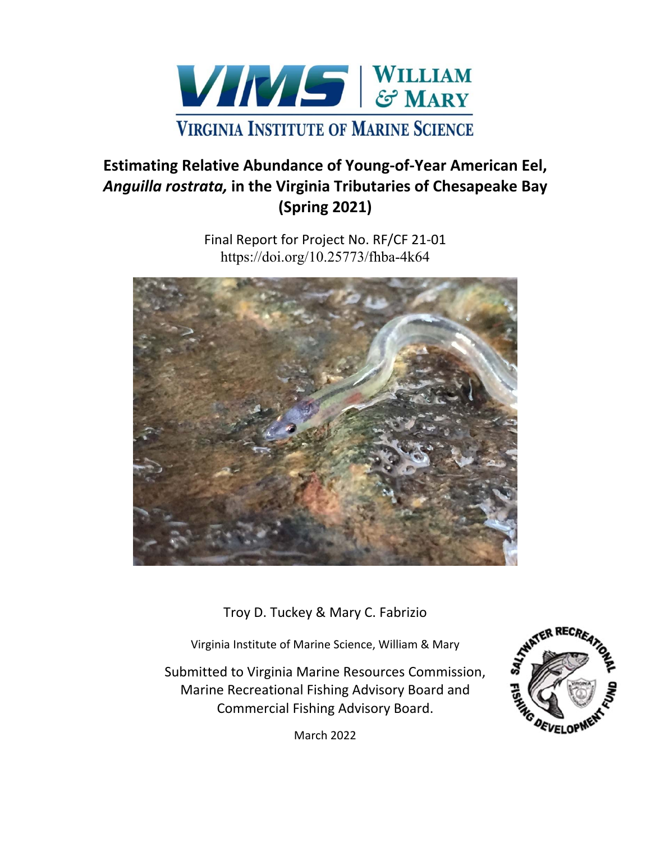

# **Estimating Relative Abundance of Young‐of‐Year American Eel,**  *Anguilla rostrata,* **in the Virginia Tributaries of Chesapeake Bay (Spring 2021)**

Final Report for Project No. RF/CF 21‐01 https://doi.org/10.25773/fhba-4k64



Troy D. Tuckey & Mary C. Fabrizio

Virginia Institute of Marine Science, William & Mary

Submitted to Virginia Marine Resources Commission, Marine Recreational Fishing Advisory Board and Commercial Fishing Advisory Board.



March 2022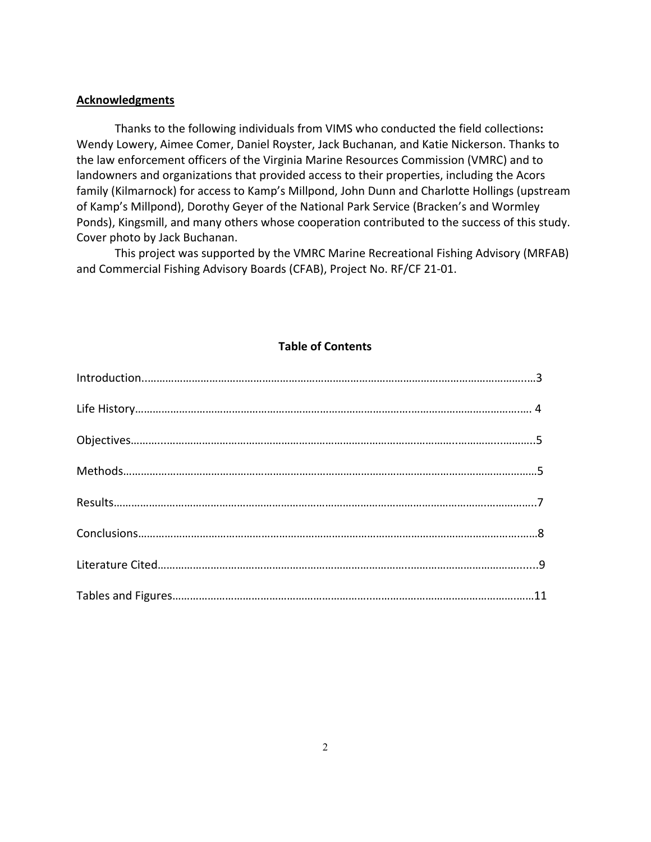## **Acknowledgments**

 Thanks to the following individuals from VIMS who conducted the field collections**:**  Wendy Lowery, Aimee Comer, Daniel Royster, Jack Buchanan, and Katie Nickerson. Thanks to the law enforcement officers of the Virginia Marine Resources Commission (VMRC) and to landowners and organizations that provided access to their properties, including the Acors family (Kilmarnock) for access to Kamp's Millpond, John Dunn and Charlotte Hollings (upstream of Kamp's Millpond), Dorothy Geyer of the National Park Service (Bracken's and Wormley Ponds), Kingsmill, and many others whose cooperation contributed to the success of this study. Cover photo by Jack Buchanan.

 This project was supported by the VMRC Marine Recreational Fishing Advisory (MRFAB) and Commercial Fishing Advisory Boards (CFAB), Project No. RF/CF 21‐01.

# **Table of Contents**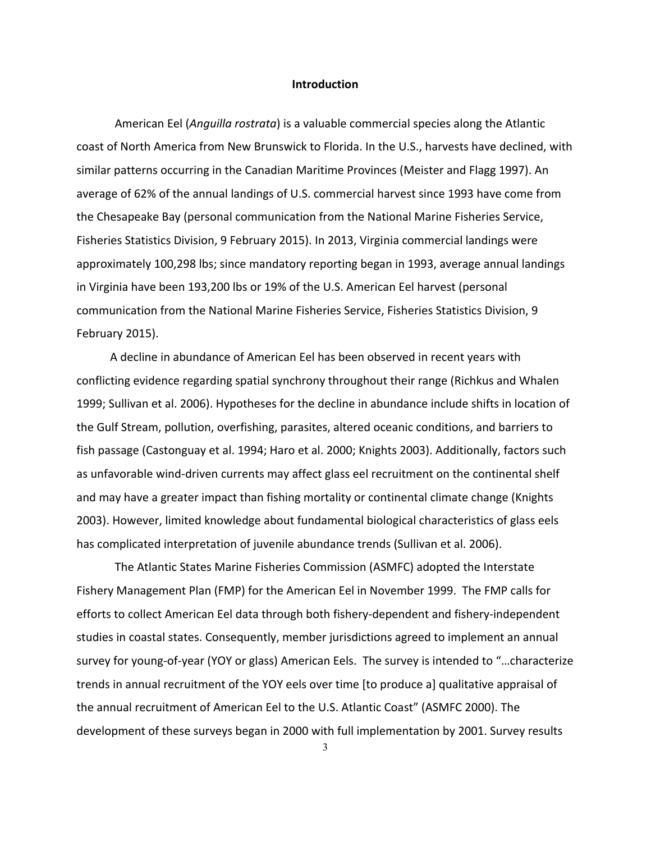#### **Introduction**

American Eel (*Anguilla rostrata*) is a valuable commercial species along the Atlantic coast of North America from New Brunswick to Florida. In the U.S., harvests have declined, with similar patterns occurring in the Canadian Maritime Provinces (Meister and Flagg 1997). An average of 62% of the annual landings of U.S. commercial harvest since 1993 have come from the Chesapeake Bay (personal communication from the National Marine Fisheries Service, Fisheries Statistics Division, 9 February 2015). In 2013, Virginia commercial landings were approximately 100,298 lbs; since mandatory reporting began in 1993, average annual landings in Virginia have been 193,200 lbs or 19% of the U.S. American Eel harvest (personal communication from the National Marine Fisheries Service, Fisheries Statistics Division, 9 February 2015).

 A decline in abundance of American Eel has been observed in recent years with conflicting evidence regarding spatial synchrony throughout their range (Richkus and Whalen 1999; Sullivan et al. 2006). Hypotheses for the decline in abundance include shifts in location of the Gulf Stream, pollution, overfishing, parasites, altered oceanic conditions, and barriers to fish passage (Castonguay et al. 1994; Haro et al. 2000; Knights 2003). Additionally, factors such as unfavorable wind‐driven currents may affect glass eel recruitment on the continental shelf and may have a greater impact than fishing mortality or continental climate change (Knights 2003). However, limited knowledge about fundamental biological characteristics of glass eels has complicated interpretation of juvenile abundance trends (Sullivan et al. 2006).

The Atlantic States Marine Fisheries Commission (ASMFC) adopted the Interstate Fishery Management Plan (FMP) for the American Eel in November 1999. The FMP calls for efforts to collect American Eel data through both fishery‐dependent and fishery‐independent studies in coastal states. Consequently, member jurisdictions agreed to implement an annual survey for young-of-year (YOY or glass) American Eels. The survey is intended to "...characterize trends in annual recruitment of the YOY eels over time [to produce a] qualitative appraisal of the annual recruitment of American Eel to the U.S. Atlantic Coast" (ASMFC 2000). The development of these surveys began in 2000 with full implementation by 2001. Survey results

3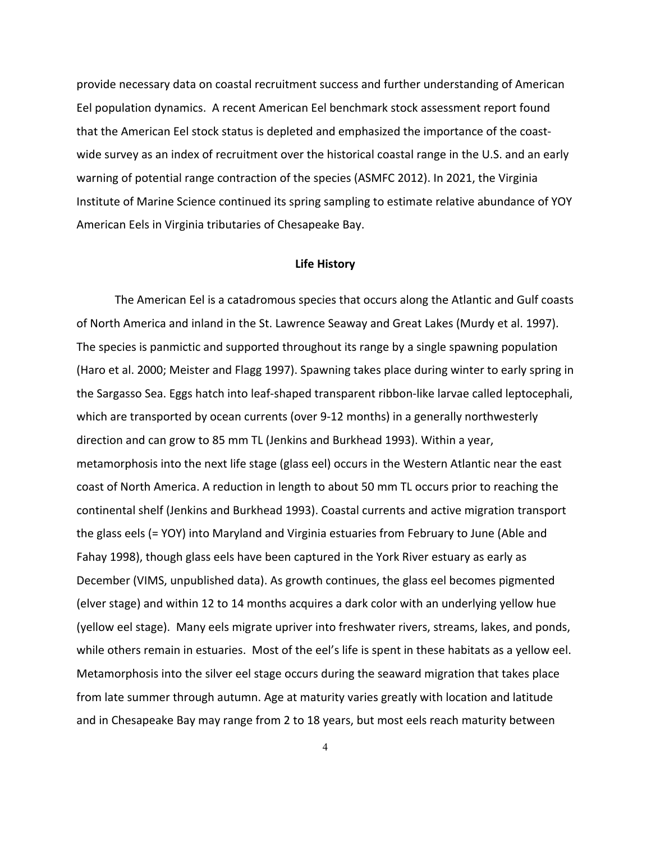provide necessary data on coastal recruitment success and further understanding of American Eel population dynamics. A recent American Eel benchmark stock assessment report found that the American Eel stock status is depleted and emphasized the importance of the coast‐ wide survey as an index of recruitment over the historical coastal range in the U.S. and an early warning of potential range contraction of the species (ASMFC 2012). In 2021, the Virginia Institute of Marine Science continued its spring sampling to estimate relative abundance of YOY American Eels in Virginia tributaries of Chesapeake Bay.

### **Life History**

The American Eel is a catadromous species that occurs along the Atlantic and Gulf coasts of North America and inland in the St. Lawrence Seaway and Great Lakes (Murdy et al. 1997). The species is panmictic and supported throughout its range by a single spawning population (Haro et al. 2000; Meister and Flagg 1997). Spawning takes place during winter to early spring in the Sargasso Sea. Eggs hatch into leaf‐shaped transparent ribbon‐like larvae called leptocephali, which are transported by ocean currents (over 9-12 months) in a generally northwesterly direction and can grow to 85 mm TL (Jenkins and Burkhead 1993). Within a year, metamorphosis into the next life stage (glass eel) occurs in the Western Atlantic near the east coast of North America. A reduction in length to about 50 mm TL occurs prior to reaching the continental shelf (Jenkins and Burkhead 1993). Coastal currents and active migration transport the glass eels (= YOY) into Maryland and Virginia estuaries from February to June (Able and Fahay 1998), though glass eels have been captured in the York River estuary as early as December (VIMS, unpublished data). As growth continues, the glass eel becomes pigmented (elver stage) and within 12 to 14 months acquires a dark color with an underlying yellow hue (yellow eel stage). Many eels migrate upriver into freshwater rivers, streams, lakes, and ponds, while others remain in estuaries. Most of the eel's life is spent in these habitats as a yellow eel. Metamorphosis into the silver eel stage occurs during the seaward migration that takes place from late summer through autumn. Age at maturity varies greatly with location and latitude and in Chesapeake Bay may range from 2 to 18 years, but most eels reach maturity between

4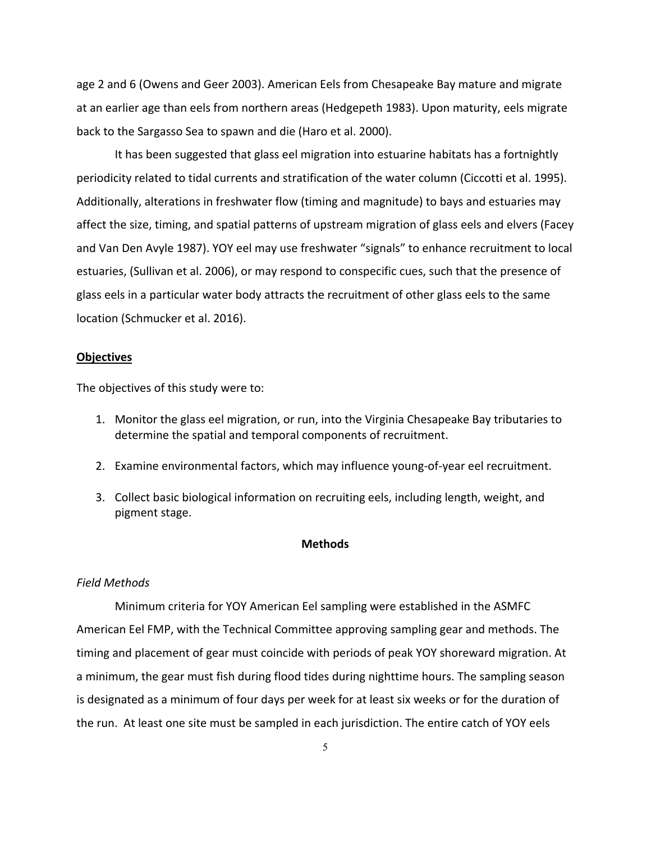age 2 and 6 (Owens and Geer 2003). American Eels from Chesapeake Bay mature and migrate at an earlier age than eels from northern areas (Hedgepeth 1983). Upon maturity, eels migrate back to the Sargasso Sea to spawn and die (Haro et al. 2000).

It has been suggested that glass eel migration into estuarine habitats has a fortnightly periodicity related to tidal currents and stratification of the water column (Ciccotti et al. 1995). Additionally, alterations in freshwater flow (timing and magnitude) to bays and estuaries may affect the size, timing, and spatial patterns of upstream migration of glass eels and elvers (Facey and Van Den Avyle 1987). YOY eel may use freshwater "signals" to enhance recruitment to local estuaries, (Sullivan et al. 2006), or may respond to conspecific cues, such that the presence of glass eels in a particular water body attracts the recruitment of other glass eels to the same location (Schmucker et al. 2016).

#### **Objectives**

The objectives of this study were to:

- 1. Monitor the glass eel migration, or run, into the Virginia Chesapeake Bay tributaries to determine the spatial and temporal components of recruitment.
- 2. Examine environmental factors, which may influence young-of-year eel recruitment.
- 3. Collect basic biological information on recruiting eels, including length, weight, and pigment stage.

#### **Methods**

#### *Field Methods*

Minimum criteria for YOY American Eel sampling were established in the ASMFC American Eel FMP, with the Technical Committee approving sampling gear and methods. The timing and placement of gear must coincide with periods of peak YOY shoreward migration. At a minimum, the gear must fish during flood tides during nighttime hours. The sampling season is designated as a minimum of four days per week for at least six weeks or for the duration of the run. At least one site must be sampled in each jurisdiction. The entire catch of YOY eels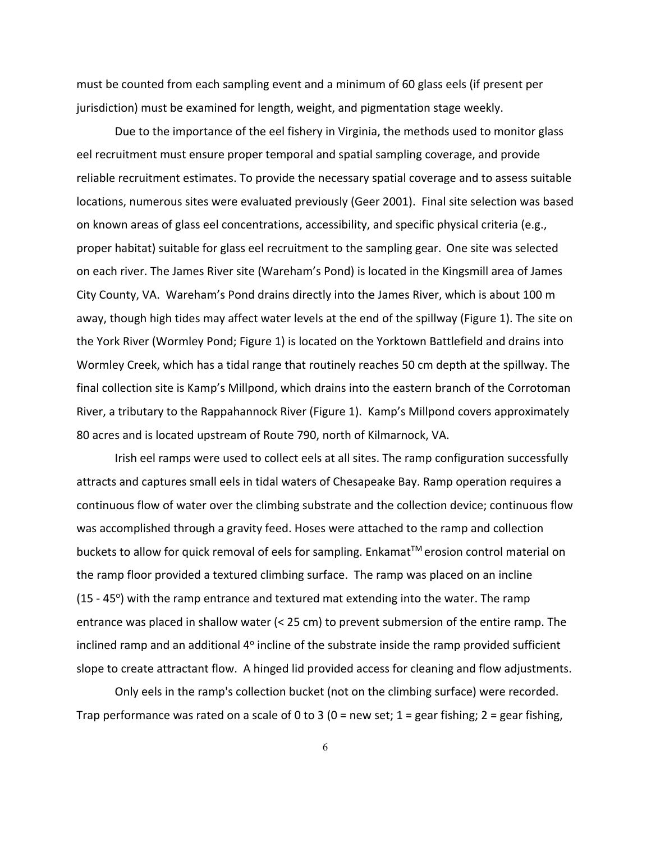must be counted from each sampling event and a minimum of 60 glass eels (if present per jurisdiction) must be examined for length, weight, and pigmentation stage weekly.

Due to the importance of the eel fishery in Virginia, the methods used to monitor glass eel recruitment must ensure proper temporal and spatial sampling coverage, and provide reliable recruitment estimates. To provide the necessary spatial coverage and to assess suitable locations, numerous sites were evaluated previously (Geer 2001). Final site selection was based on known areas of glass eel concentrations, accessibility, and specific physical criteria (e.g., proper habitat) suitable for glass eel recruitment to the sampling gear. One site was selected on each river. The James River site (Wareham's Pond) is located in the Kingsmill area of James City County, VA. Wareham's Pond drains directly into the James River, which is about 100 m away, though high tides may affect water levels at the end of the spillway (Figure 1). The site on the York River (Wormley Pond; Figure 1) is located on the Yorktown Battlefield and drains into Wormley Creek, which has a tidal range that routinely reaches 50 cm depth at the spillway. The final collection site is Kamp's Millpond, which drains into the eastern branch of the Corrotoman River, a tributary to the Rappahannock River (Figure 1). Kamp's Millpond covers approximately 80 acres and is located upstream of Route 790, north of Kilmarnock, VA.

Irish eel ramps were used to collect eels at all sites. The ramp configuration successfully attracts and captures small eels in tidal waters of Chesapeake Bay. Ramp operation requires a continuous flow of water over the climbing substrate and the collection device; continuous flow was accomplished through a gravity feed. Hoses were attached to the ramp and collection buckets to allow for quick removal of eels for sampling. Enkamat™ erosion control material on the ramp floor provided a textured climbing surface. The ramp was placed on an incline  $(15 - 45^{\circ})$  with the ramp entrance and textured mat extending into the water. The ramp entrance was placed in shallow water (< 25 cm) to prevent submersion of the entire ramp. The inclined ramp and an additional  $4^{\circ}$  incline of the substrate inside the ramp provided sufficient slope to create attractant flow. A hinged lid provided access for cleaning and flow adjustments.

Only eels in the ramp's collection bucket (not on the climbing surface) were recorded. Trap performance was rated on a scale of 0 to 3 (0 = new set; 1 = gear fishing; 2 = gear fishing,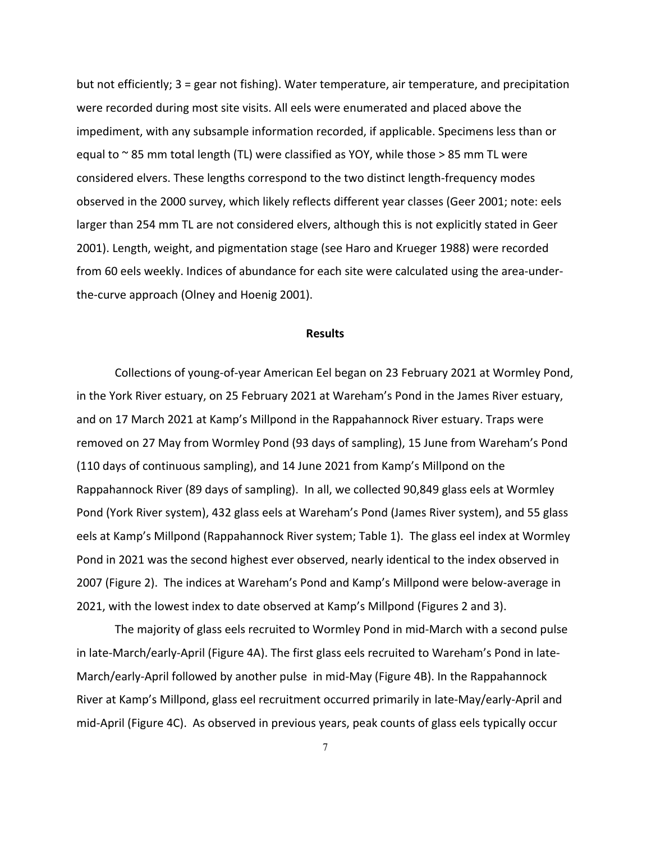but not efficiently; 3 = gear not fishing). Water temperature, air temperature, and precipitation were recorded during most site visits. All eels were enumerated and placed above the impediment, with any subsample information recorded, if applicable. Specimens less than or equal to  $\sim$  85 mm total length (TL) were classified as YOY, while those > 85 mm TL were considered elvers. These lengths correspond to the two distinct length‐frequency modes observed in the 2000 survey, which likely reflects different year classes (Geer 2001; note: eels larger than 254 mm TL are not considered elvers, although this is not explicitly stated in Geer 2001). Length, weight, and pigmentation stage (see Haro and Krueger 1988) were recorded from 60 eels weekly. Indices of abundance for each site were calculated using the area‐under‐ the‐curve approach (Olney and Hoenig 2001).

#### **Results**

Collections of young‐of‐year American Eel began on 23 February 2021 at Wormley Pond, in the York River estuary, on 25 February 2021 at Wareham's Pond in the James River estuary, and on 17 March 2021 at Kamp's Millpond in the Rappahannock River estuary. Traps were removed on 27 May from Wormley Pond (93 days of sampling), 15 June from Wareham's Pond (110 days of continuous sampling), and 14 June 2021 from Kamp's Millpond on the Rappahannock River (89 days of sampling). In all, we collected 90,849 glass eels at Wormley Pond (York River system), 432 glass eels at Wareham's Pond (James River system), and 55 glass eels at Kamp's Millpond (Rappahannock River system; Table 1). The glass eel index at Wormley Pond in 2021 was the second highest ever observed, nearly identical to the index observed in 2007 (Figure 2). The indices at Wareham's Pond and Kamp's Millpond were below‐average in 2021, with the lowest index to date observed at Kamp's Millpond (Figures 2 and 3).

The majority of glass eels recruited to Wormley Pond in mid‐March with a second pulse in late‐March/early‐April (Figure 4A). The first glass eels recruited to Wareham's Pond in late‐ March/early‐April followed by another pulse in mid‐May (Figure 4B). In the Rappahannock River at Kamp's Millpond, glass eel recruitment occurred primarily in late‐May/early‐April and mid‐April (Figure 4C). As observed in previous years, peak counts of glass eels typically occur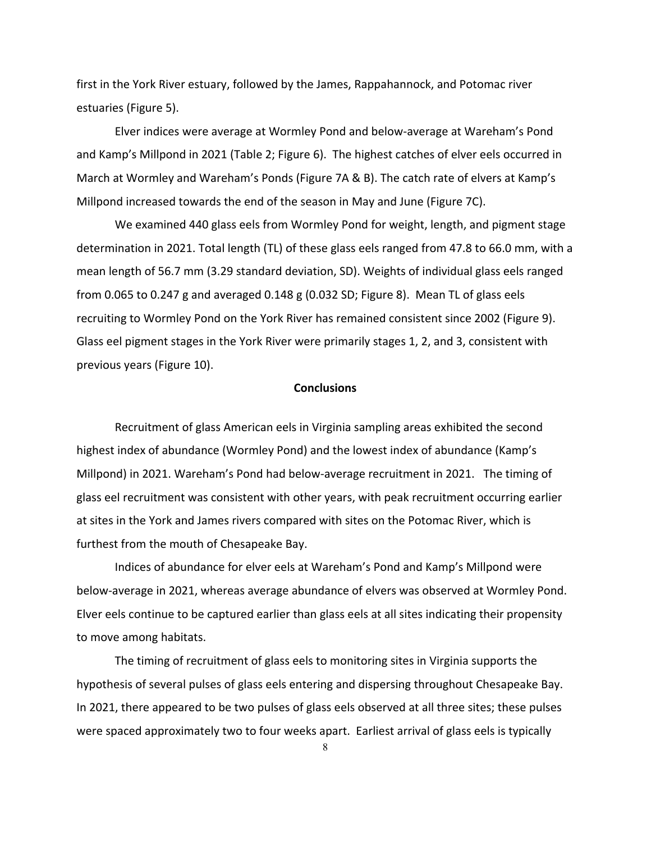first in the York River estuary, followed by the James, Rappahannock, and Potomac river estuaries (Figure 5).

Elver indices were average at Wormley Pond and below‐average at Wareham's Pond and Kamp's Millpond in 2021 (Table 2; Figure 6). The highest catches of elver eels occurred in March at Wormley and Wareham's Ponds (Figure 7A & B). The catch rate of elvers at Kamp's Millpond increased towards the end of the season in May and June (Figure 7C).

 We examined 440 glass eels from Wormley Pond for weight, length, and pigment stage determination in 2021. Total length (TL) of these glass eels ranged from 47.8 to 66.0 mm, with a mean length of 56.7 mm (3.29 standard deviation, SD). Weights of individual glass eels ranged from 0.065 to 0.247 g and averaged 0.148 g (0.032 SD; Figure 8). Mean TL of glass eels recruiting to Wormley Pond on the York River has remained consistent since 2002 (Figure 9). Glass eel pigment stages in the York River were primarily stages 1, 2, and 3, consistent with previous years (Figure 10).

# **Conclusions**

Recruitment of glass American eels in Virginia sampling areas exhibited the second highest index of abundance (Wormley Pond) and the lowest index of abundance (Kamp's Millpond) in 2021. Wareham's Pond had below‐average recruitment in 2021. The timing of glass eel recruitment was consistent with other years, with peak recruitment occurring earlier at sites in the York and James rivers compared with sites on the Potomac River, which is furthest from the mouth of Chesapeake Bay.

Indices of abundance for elver eels at Wareham's Pond and Kamp's Millpond were below‐average in 2021, whereas average abundance of elvers was observed at Wormley Pond. Elver eels continue to be captured earlier than glass eels at all sites indicating their propensity to move among habitats.

The timing of recruitment of glass eels to monitoring sites in Virginia supports the hypothesis of several pulses of glass eels entering and dispersing throughout Chesapeake Bay. In 2021, there appeared to be two pulses of glass eels observed at all three sites; these pulses were spaced approximately two to four weeks apart. Earliest arrival of glass eels is typically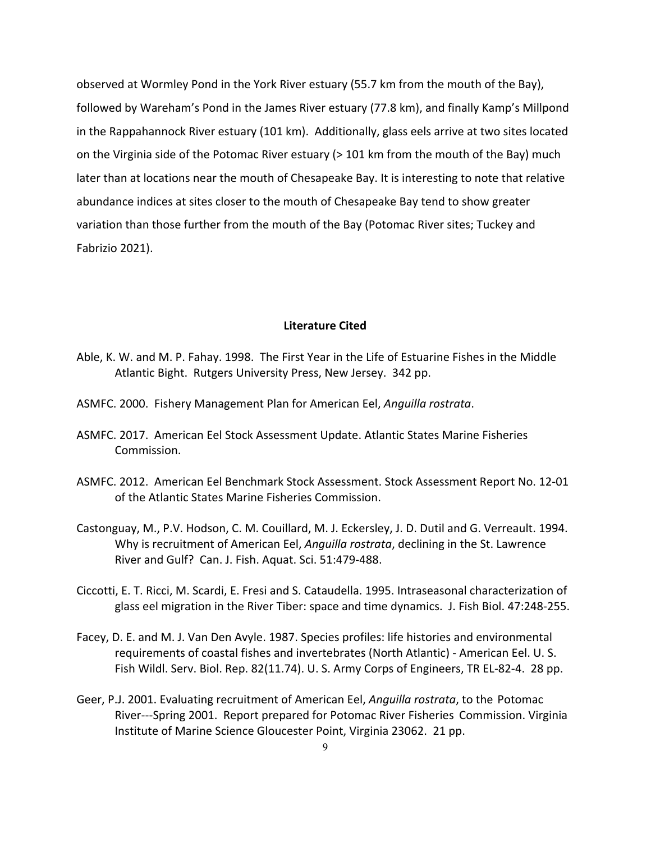observed at Wormley Pond in the York River estuary (55.7 km from the mouth of the Bay), followed by Wareham's Pond in the James River estuary (77.8 km), and finally Kamp's Millpond in the Rappahannock River estuary (101 km). Additionally, glass eels arrive at two sites located on the Virginia side of the Potomac River estuary (> 101 km from the mouth of the Bay) much later than at locations near the mouth of Chesapeake Bay. It is interesting to note that relative abundance indices at sites closer to the mouth of Chesapeake Bay tend to show greater variation than those further from the mouth of the Bay (Potomac River sites; Tuckey and Fabrizio 2021).

#### **Literature Cited**

- Able, K. W. and M. P. Fahay. 1998. The First Year in the Life of Estuarine Fishes in the Middle Atlantic Bight. Rutgers University Press, New Jersey. 342 pp.
- ASMFC. 2000. Fishery Management Plan for American Eel, *Anguilla rostrata*.
- ASMFC. 2017. American Eel Stock Assessment Update. Atlantic States Marine Fisheries Commission.
- ASMFC. 2012. American Eel Benchmark Stock Assessment. Stock Assessment Report No. 12‐01 of the Atlantic States Marine Fisheries Commission.
- Castonguay, M., P.V. Hodson, C. M. Couillard, M. J. Eckersley, J. D. Dutil and G. Verreault. 1994. Why is recruitment of American Eel, *Anguilla rostrata*, declining in the St. Lawrence River and Gulf? Can. J. Fish. Aquat. Sci. 51:479‐488.
- Ciccotti, E. T. Ricci, M. Scardi, E. Fresi and S. Cataudella. 1995. Intraseasonal characterization of glass eel migration in the River Tiber: space and time dynamics. J. Fish Biol. 47:248‐255.
- Facey, D. E. and M. J. Van Den Avyle. 1987. Species profiles: life histories and environmental requirements of coastal fishes and invertebrates (North Atlantic) ‐ American Eel. U. S. Fish Wildl. Serv. Biol. Rep. 82(11.74). U. S. Army Corps of Engineers, TR EL‐82‐4. 28 pp.
- Geer, P.J. 2001. Evaluating recruitment of American Eel, *Anguilla rostrata*, to the Potomac River‐‐‐Spring 2001. Report prepared for Potomac River Fisheries Commission. Virginia Institute of Marine Science Gloucester Point, Virginia 23062. 21 pp.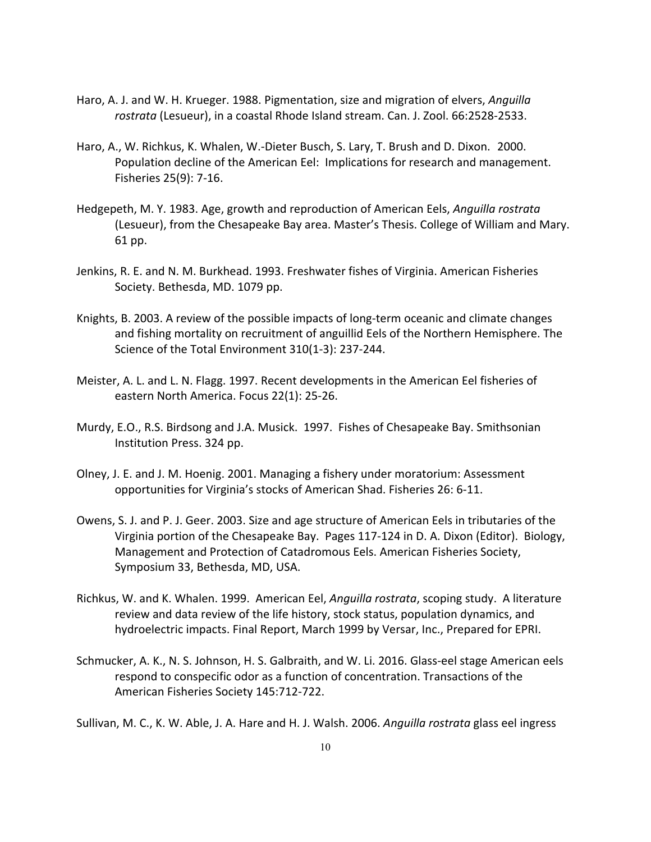- Haro, A. J. and W. H. Krueger. 1988. Pigmentation, size and migration of elvers, *Anguilla rostrata* (Lesueur), in a coastal Rhode Island stream. Can. J. Zool. 66:2528‐2533.
- Haro, A., W. Richkus, K. Whalen, W.‐Dieter Busch, S. Lary, T. Brush and D. Dixon. 2000. Population decline of the American Eel: Implications for research and management. Fisheries 25(9): 7‐16.
- Hedgepeth, M. Y. 1983. Age, growth and reproduction of American Eels, *Anguilla rostrata* (Lesueur), from the Chesapeake Bay area. Master's Thesis. College of William and Mary. 61 pp.
- Jenkins, R. E. and N. M. Burkhead. 1993. Freshwater fishes of Virginia. American Fisheries Society. Bethesda, MD. 1079 pp.
- Knights, B. 2003. A review of the possible impacts of long‐term oceanic and climate changes and fishing mortality on recruitment of anguillid Eels of the Northern Hemisphere. The Science of the Total Environment 310(1‐3): 237‐244.
- Meister, A. L. and L. N. Flagg. 1997. Recent developments in the American Eel fisheries of eastern North America. Focus 22(1): 25‐26.
- Murdy, E.O., R.S. Birdsong and J.A. Musick. 1997. Fishes of Chesapeake Bay. Smithsonian Institution Press. 324 pp.
- Olney, J. E. and J. M. Hoenig. 2001. Managing a fishery under moratorium: Assessment opportunities for Virginia's stocks of American Shad. Fisheries 26: 6‐11.
- Owens, S. J. and P. J. Geer. 2003. Size and age structure of American Eels in tributaries of the Virginia portion of the Chesapeake Bay. Pages 117‐124 in D. A. Dixon (Editor). Biology, Management and Protection of Catadromous Eels. American Fisheries Society, Symposium 33, Bethesda, MD, USA.
- Richkus, W. and K. Whalen. 1999. American Eel, *Anguilla rostrata*, scoping study. A literature review and data review of the life history, stock status, population dynamics, and hydroelectric impacts. Final Report, March 1999 by Versar, Inc., Prepared for EPRI.
- Schmucker, A. K., N. S. Johnson, H. S. Galbraith, and W. Li. 2016. Glass-eel stage American eels respond to conspecific odor as a function of concentration. Transactions of the American Fisheries Society 145:712‐722.

Sullivan, M. C., K. W. Able, J. A. Hare and H. J. Walsh. 2006. *Anguilla rostrata* glass eel ingress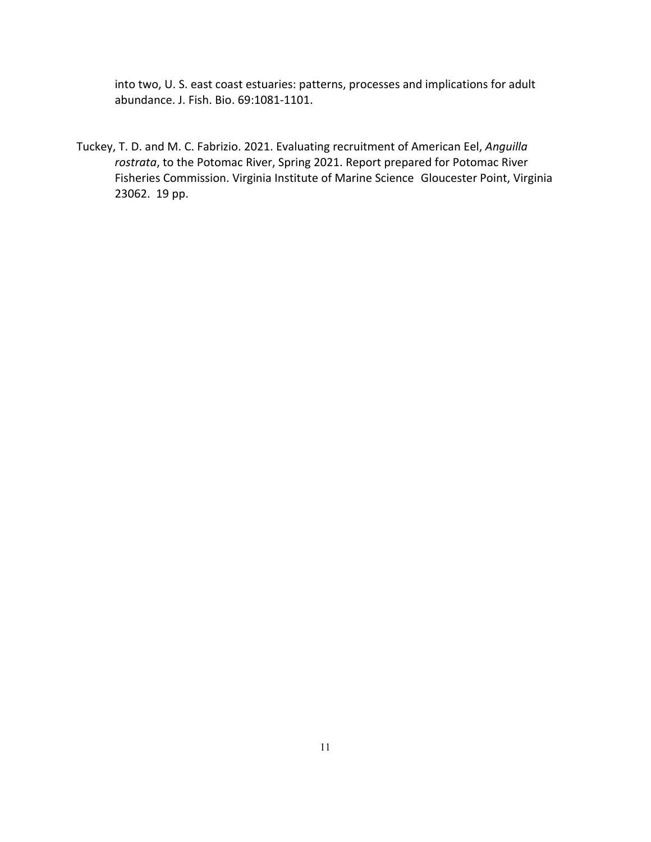into two, U. S. east coast estuaries: patterns, processes and implications for adult abundance. J. Fish. Bio. 69:1081‐1101.

Tuckey, T. D. and M. C. Fabrizio. 2021. Evaluating recruitment of American Eel, *Anguilla rostrata*, to the Potomac River, Spring 2021. Report prepared for Potomac River Fisheries Commission. Virginia Institute of Marine Science Gloucester Point, Virginia 23062. 19 pp.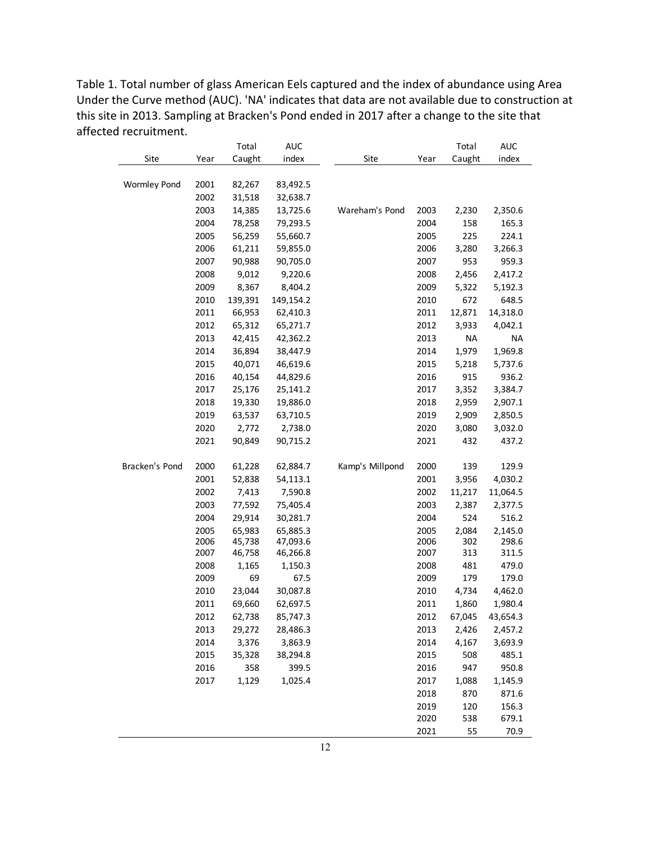Table 1. Total number of glass American Eels captured and the index of abundance using Area Under the Curve method (AUC). 'NA' indicates that data are not available due to construction at this site in 2013. Sampling at Bracken's Pond ended in 2017 after a change to the site that affected recruitment.

|                     |      | Total   | <b>AUC</b> |                 |      | Total     | <b>AUC</b> |
|---------------------|------|---------|------------|-----------------|------|-----------|------------|
| Site                | Year | Caught  | index      | Site            | Year | Caught    | index      |
|                     |      |         |            |                 |      |           |            |
| <b>Wormley Pond</b> | 2001 | 82,267  | 83,492.5   |                 |      |           |            |
|                     | 2002 | 31,518  | 32,638.7   |                 |      |           |            |
|                     | 2003 | 14,385  | 13,725.6   | Wareham's Pond  | 2003 | 2,230     | 2,350.6    |
|                     | 2004 | 78,258  | 79,293.5   |                 | 2004 | 158       | 165.3      |
|                     | 2005 | 56,259  | 55,660.7   |                 | 2005 | 225       | 224.1      |
|                     | 2006 | 61,211  | 59,855.0   |                 | 2006 | 3,280     | 3,266.3    |
|                     | 2007 | 90,988  | 90,705.0   |                 | 2007 | 953       | 959.3      |
|                     | 2008 | 9,012   | 9,220.6    |                 | 2008 | 2,456     | 2,417.2    |
|                     | 2009 | 8,367   | 8,404.2    |                 | 2009 | 5,322     | 5,192.3    |
|                     | 2010 | 139,391 | 149,154.2  |                 | 2010 | 672       | 648.5      |
|                     | 2011 | 66,953  | 62,410.3   |                 | 2011 | 12,871    | 14,318.0   |
|                     | 2012 | 65,312  | 65,271.7   |                 | 2012 | 3,933     | 4,042.1    |
|                     | 2013 | 42,415  | 42,362.2   |                 | 2013 | <b>NA</b> | <b>NA</b>  |
|                     | 2014 | 36,894  | 38,447.9   |                 | 2014 | 1,979     | 1,969.8    |
|                     | 2015 | 40,071  | 46,619.6   |                 | 2015 | 5,218     | 5,737.6    |
|                     | 2016 | 40,154  | 44,829.6   |                 | 2016 | 915       | 936.2      |
|                     | 2017 | 25,176  | 25,141.2   |                 | 2017 | 3,352     | 3,384.7    |
|                     | 2018 | 19,330  | 19,886.0   |                 | 2018 | 2,959     | 2,907.1    |
|                     | 2019 | 63,537  | 63,710.5   |                 | 2019 | 2,909     | 2,850.5    |
|                     | 2020 | 2,772   | 2,738.0    |                 | 2020 | 3,080     | 3,032.0    |
|                     | 2021 | 90,849  | 90,715.2   |                 | 2021 | 432       | 437.2      |
|                     |      |         |            |                 |      |           |            |
| Bracken's Pond      | 2000 | 61,228  | 62,884.7   | Kamp's Millpond | 2000 | 139       | 129.9      |
|                     | 2001 | 52,838  | 54,113.1   |                 | 2001 | 3,956     | 4,030.2    |
|                     | 2002 | 7,413   | 7,590.8    |                 | 2002 | 11,217    | 11,064.5   |
|                     | 2003 | 77,592  | 75,405.4   |                 | 2003 | 2,387     | 2,377.5    |
|                     | 2004 | 29,914  | 30,281.7   |                 | 2004 | 524       | 516.2      |
|                     | 2005 | 65,983  | 65,885.3   |                 | 2005 | 2,084     | 2,145.0    |
|                     | 2006 | 45,738  | 47,093.6   |                 | 2006 | 302       | 298.6      |
|                     | 2007 | 46,758  | 46,266.8   |                 | 2007 | 313       | 311.5      |
|                     | 2008 | 1,165   | 1,150.3    |                 | 2008 | 481       | 479.0      |
|                     | 2009 | 69      | 67.5       |                 | 2009 | 179       | 179.0      |
|                     | 2010 | 23,044  | 30,087.8   |                 | 2010 | 4,734     | 4,462.0    |
|                     | 2011 | 69,660  | 62,697.5   |                 | 2011 | 1,860     | 1,980.4    |
|                     | 2012 | 62,738  | 85,747.3   |                 | 2012 | 67,045    | 43,654.3   |
|                     | 2013 | 29,272  | 28,486.3   |                 | 2013 | 2,426     | 2,457.2    |
|                     | 2014 | 3,376   | 3,863.9    |                 | 2014 | 4,167     | 3,693.9    |
|                     | 2015 | 35,328  | 38,294.8   |                 | 2015 | 508       | 485.1      |
|                     | 2016 | 358     | 399.5      |                 | 2016 | 947       | 950.8      |
|                     | 2017 | 1,129   | 1,025.4    |                 | 2017 | 1,088     | 1,145.9    |
|                     |      |         |            |                 | 2018 | 870       | 871.6      |
|                     |      |         |            |                 | 2019 | 120       | 156.3      |
|                     |      |         |            |                 | 2020 | 538       | 679.1      |
|                     |      |         |            |                 | 2021 | 55        | 70.9       |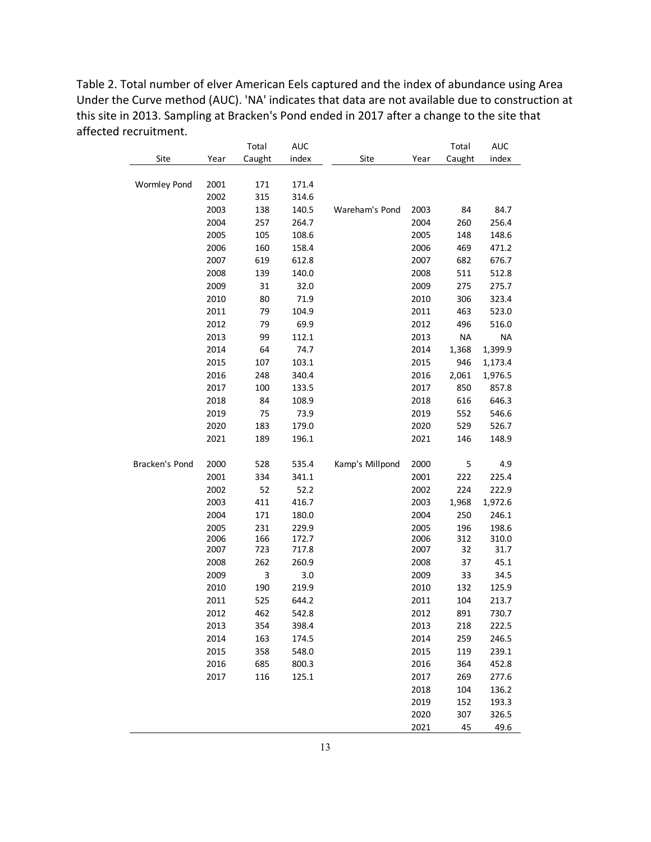Table 2. Total number of elver American Eels captured and the index of abundance using Area Under the Curve method (AUC). 'NA' indicates that data are not available due to construction at this site in 2013. Sampling at Bracken's Pond ended in 2017 after a change to the site that affected recruitment.

|                     |      | Total  | <b>AUC</b> |                 |      | Total     | <b>AUC</b> |
|---------------------|------|--------|------------|-----------------|------|-----------|------------|
| Site                | Year | Caught | index      | Site            | Year | Caught    | index      |
|                     |      |        |            |                 |      |           |            |
| <b>Wormley Pond</b> | 2001 | 171    | 171.4      |                 |      |           |            |
|                     | 2002 | 315    | 314.6      |                 |      |           |            |
|                     | 2003 | 138    | 140.5      | Wareham's Pond  | 2003 | 84        | 84.7       |
|                     | 2004 | 257    | 264.7      |                 | 2004 | 260       | 256.4      |
|                     | 2005 | 105    | 108.6      |                 | 2005 | 148       | 148.6      |
|                     | 2006 | 160    | 158.4      |                 | 2006 | 469       | 471.2      |
|                     | 2007 | 619    | 612.8      |                 | 2007 | 682       | 676.7      |
|                     | 2008 | 139    | 140.0      |                 | 2008 | 511       | 512.8      |
|                     | 2009 | 31     | 32.0       |                 | 2009 | 275       | 275.7      |
|                     | 2010 | 80     | 71.9       |                 | 2010 | 306       | 323.4      |
|                     | 2011 | 79     | 104.9      |                 | 2011 | 463       | 523.0      |
|                     | 2012 | 79     | 69.9       |                 | 2012 | 496       | 516.0      |
|                     | 2013 | 99     | 112.1      |                 | 2013 | <b>NA</b> | <b>NA</b>  |
|                     | 2014 | 64     | 74.7       |                 | 2014 | 1,368     | 1,399.9    |
|                     | 2015 | 107    | 103.1      |                 | 2015 | 946       | 1,173.4    |
|                     | 2016 | 248    | 340.4      |                 | 2016 | 2,061     | 1,976.5    |
|                     | 2017 | 100    | 133.5      |                 | 2017 | 850       | 857.8      |
|                     | 2018 | 84     | 108.9      |                 | 2018 | 616       | 646.3      |
|                     | 2019 | 75     | 73.9       |                 | 2019 | 552       | 546.6      |
|                     | 2020 | 183    | 179.0      |                 | 2020 | 529       | 526.7      |
|                     | 2021 | 189    | 196.1      |                 | 2021 | 146       | 148.9      |
|                     |      |        |            |                 |      |           |            |
| Bracken's Pond      | 2000 | 528    | 535.4      | Kamp's Millpond | 2000 | 5         | 4.9        |
|                     | 2001 | 334    | 341.1      |                 | 2001 | 222       | 225.4      |
|                     | 2002 | 52     | 52.2       |                 | 2002 | 224       | 222.9      |
|                     | 2003 | 411    | 416.7      |                 | 2003 | 1,968     | 1,972.6    |
|                     | 2004 | 171    | 180.0      |                 | 2004 | 250       | 246.1      |
|                     | 2005 | 231    | 229.9      |                 | 2005 | 196       | 198.6      |
|                     | 2006 | 166    | 172.7      |                 | 2006 | 312       | 310.0      |
|                     | 2007 | 723    | 717.8      |                 | 2007 | 32        | 31.7       |
|                     | 2008 | 262    | 260.9      |                 | 2008 | 37        | 45.1       |
|                     | 2009 | 3      | 3.0        |                 | 2009 | 33        | 34.5       |
|                     | 2010 | 190    | 219.9      |                 | 2010 | 132       | 125.9      |
|                     | 2011 | 525    | 644.2      |                 | 2011 | 104       | 213.7      |
|                     | 2012 | 462    | 542.8      |                 | 2012 | 891       | 730.7      |
|                     | 2013 | 354    | 398.4      |                 | 2013 | 218       | 222.5      |
|                     | 2014 | 163    | 174.5      |                 | 2014 | 259       | 246.5      |
|                     | 2015 | 358    | 548.0      |                 | 2015 | 119       | 239.1      |
|                     | 2016 | 685    | 800.3      |                 | 2016 | 364       | 452.8      |
|                     | 2017 | 116    | 125.1      |                 | 2017 | 269       | 277.6      |
|                     |      |        |            |                 | 2018 | 104       | 136.2      |
|                     |      |        |            |                 | 2019 | 152       | 193.3      |
|                     |      |        |            |                 | 2020 | 307       | 326.5      |
|                     |      |        |            |                 | 2021 | 45        | 49.6       |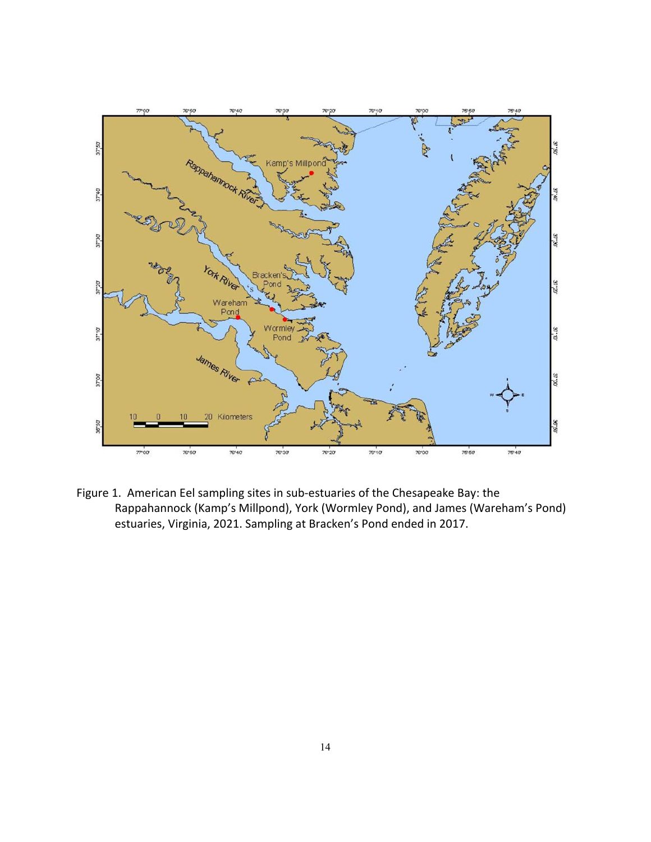

Figure 1. American Eel sampling sites in sub‐estuaries of the Chesapeake Bay: the Rappahannock (Kamp's Millpond), York (Wormley Pond), and James (Wareham's Pond) estuaries, Virginia, 2021. Sampling at Bracken's Pond ended in 2017.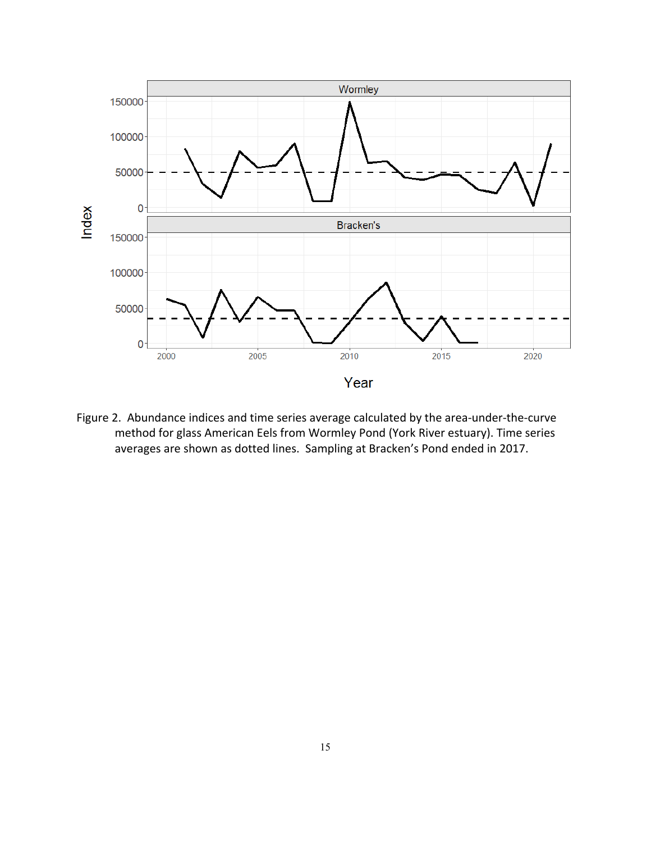

Figure 2. Abundance indices and time series average calculated by the area-under-the-curve method for glass American Eels from Wormley Pond (York River estuary). Time series averages are shown as dotted lines. Sampling at Bracken's Pond ended in 2017.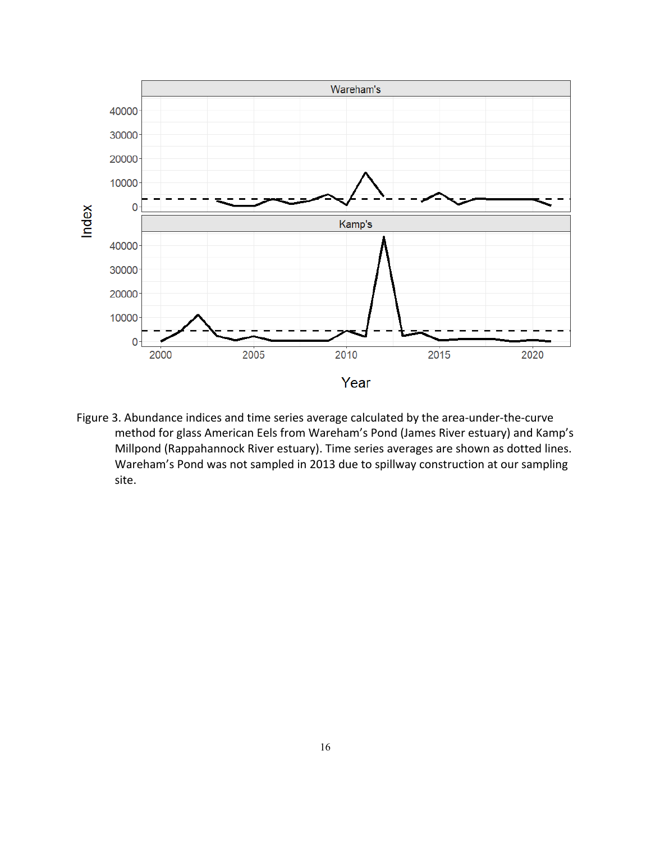

Figure 3. Abundance indices and time series average calculated by the area-under-the-curve method for glass American Eels from Wareham's Pond (James River estuary) and Kamp's Millpond (Rappahannock River estuary). Time series averages are shown as dotted lines. Wareham's Pond was not sampled in 2013 due to spillway construction at our sampling site.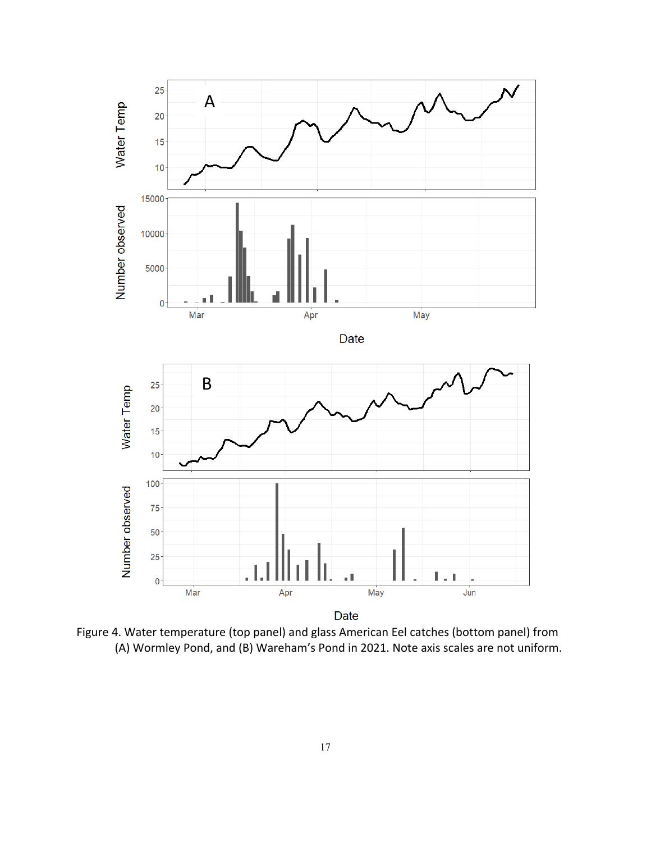

Figure 4. Water temperature (top panel) and glass American Eel catches (bottom panel) from (A) Wormley Pond, and (B) Wareham's Pond in 2021. Note axis scales are not uniform.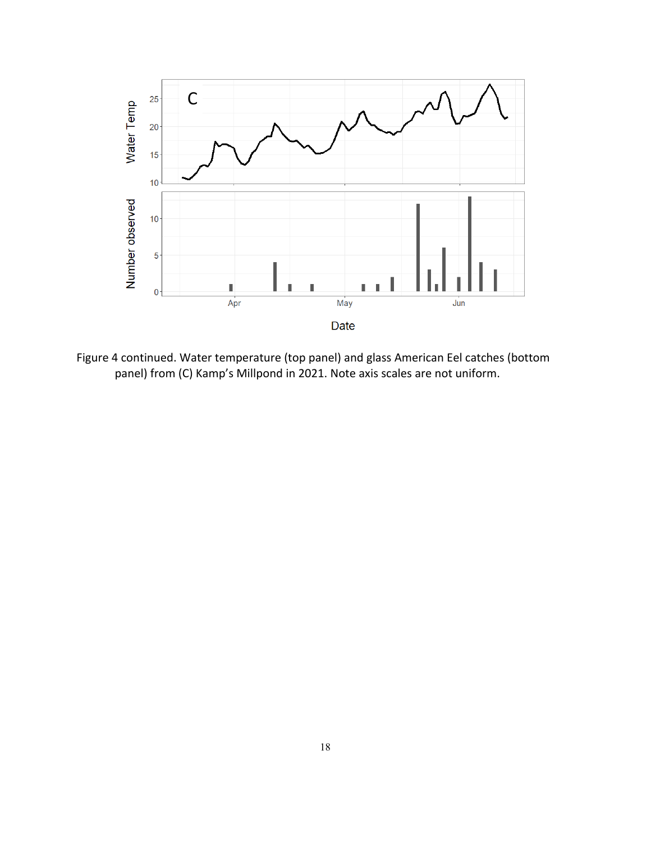

Figure 4 continued. Water temperature (top panel) and glass American Eel catches (bottom panel) from (C) Kamp's Millpond in 2021. Note axis scales are not uniform.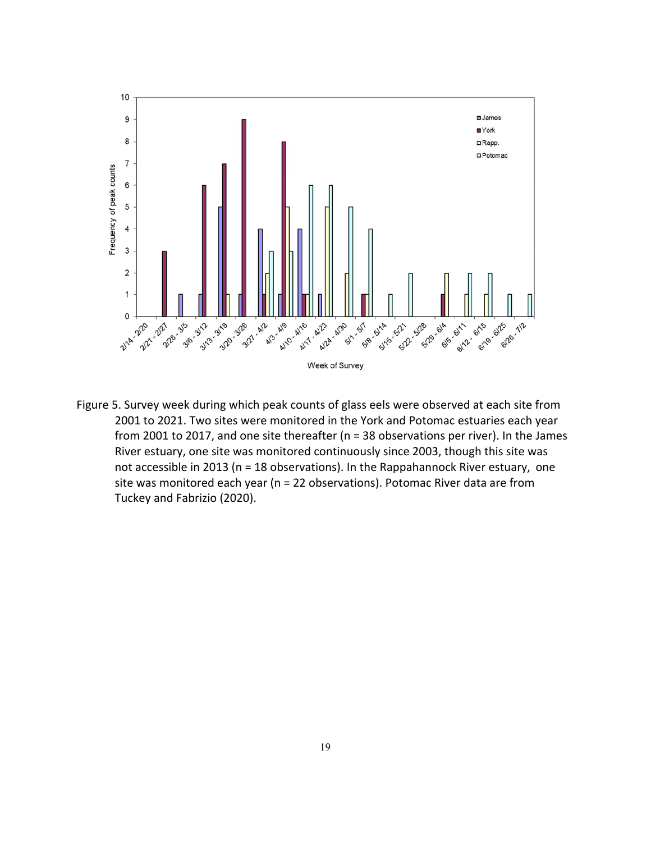

Figure 5. Survey week during which peak counts of glass eels were observed at each site from 2001 to 2021. Two sites were monitored in the York and Potomac estuaries each year from 2001 to 2017, and one site thereafter (n = 38 observations per river). In the James River estuary, one site was monitored continuously since 2003, though this site was not accessible in 2013 (n = 18 observations). In the Rappahannock River estuary, one site was monitored each year (n = 22 observations). Potomac River data are from Tuckey and Fabrizio (2020).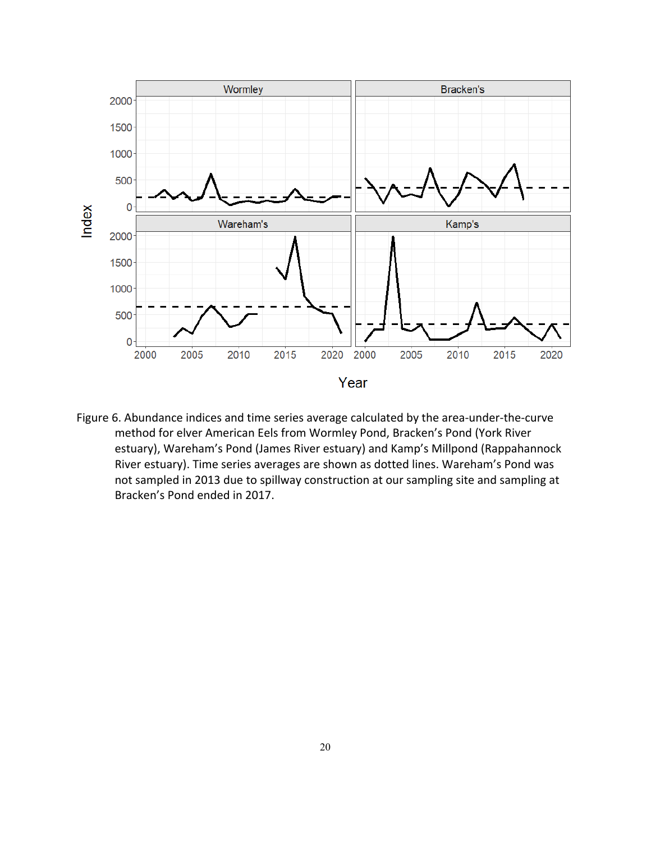

Figure 6. Abundance indices and time series average calculated by the area-under-the-curve method for elver American Eels from Wormley Pond, Bracken's Pond (York River estuary), Wareham's Pond (James River estuary) and Kamp's Millpond (Rappahannock River estuary). Time series averages are shown as dotted lines. Wareham's Pond was not sampled in 2013 due to spillway construction at our sampling site and sampling at Bracken's Pond ended in 2017.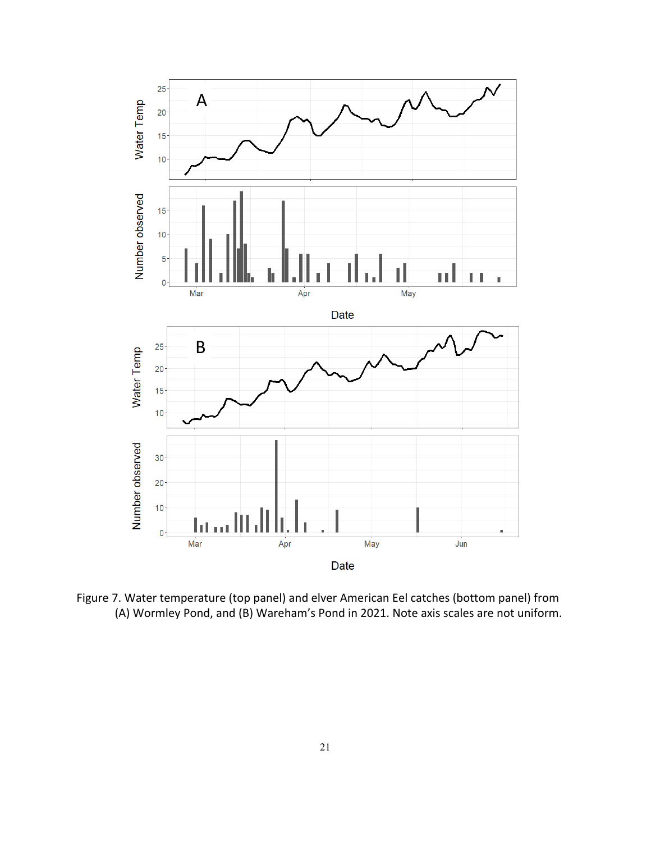

Figure 7. Water temperature (top panel) and elver American Eel catches (bottom panel) from (A) Wormley Pond, and (B) Wareham's Pond in 2021. Note axis scales are not uniform.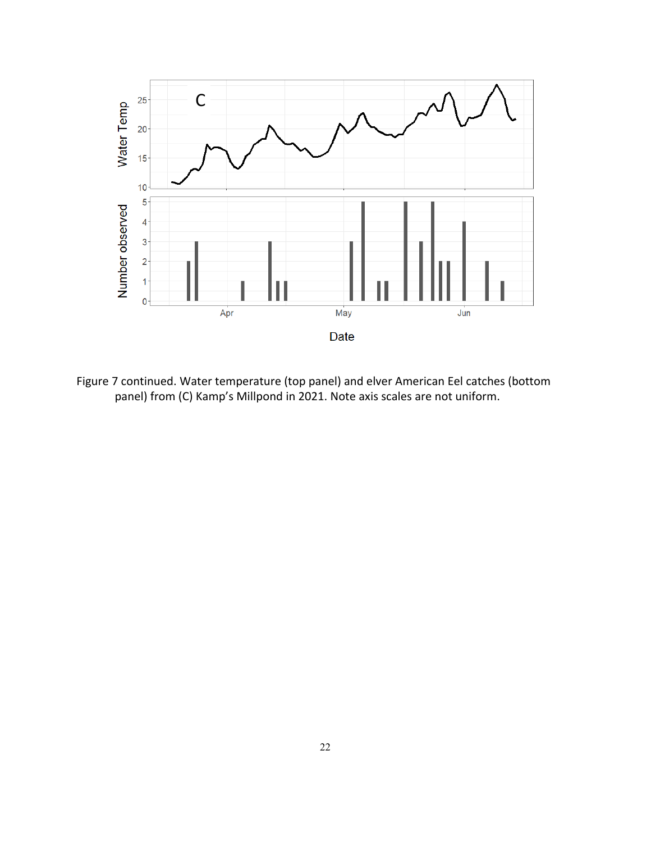

Figure 7 continued. Water temperature (top panel) and elver American Eel catches (bottom panel) from (C) Kamp's Millpond in 2021. Note axis scales are not uniform.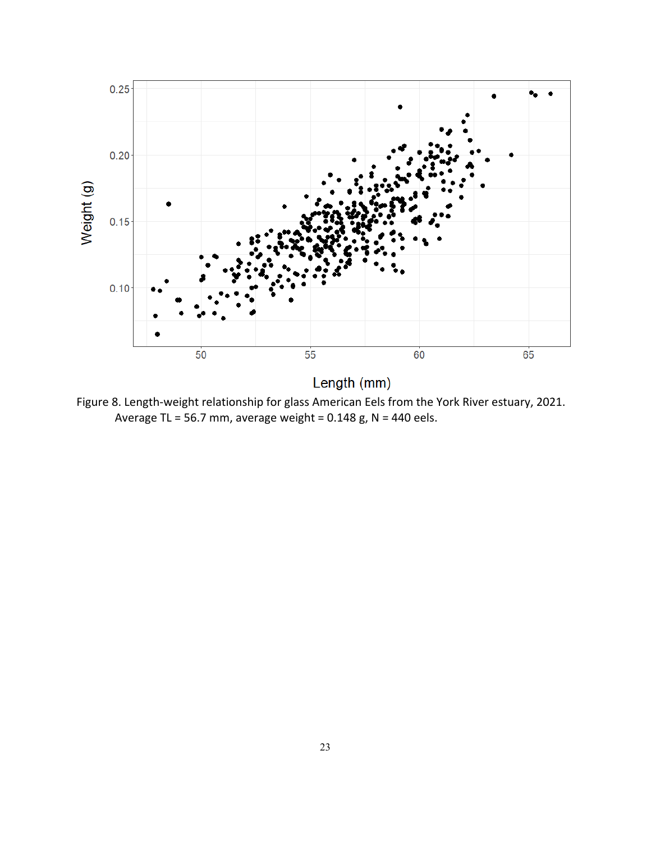

Length (mm)

Figure 8. Length‐weight relationship for glass American Eels from the York River estuary, 2021. Average TL = 56.7 mm, average weight =  $0.148$  g, N = 440 eels.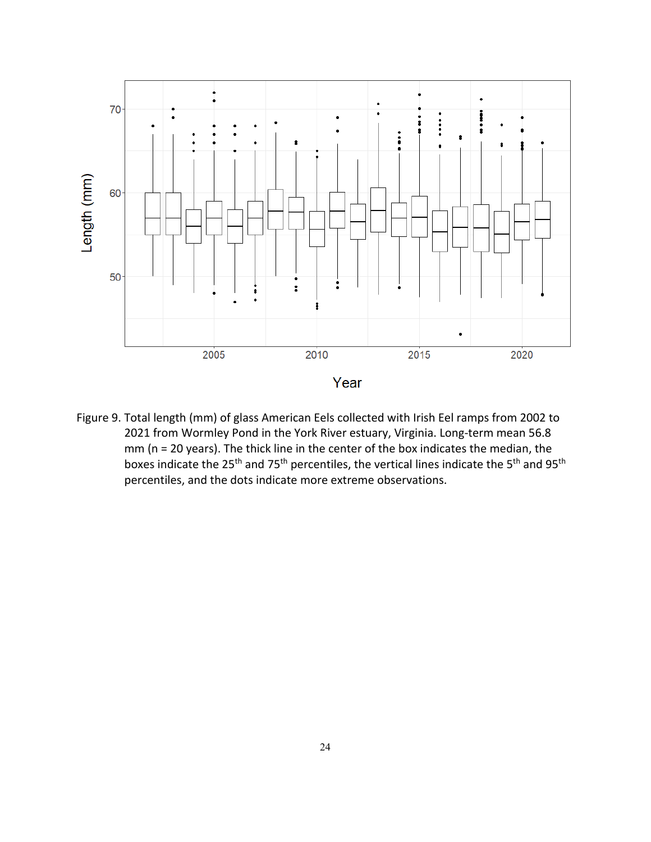

Figure 9. Total length (mm) of glass American Eels collected with Irish Eel ramps from 2002 to 2021 from Wormley Pond in the York River estuary, Virginia. Long-term mean 56.8 mm (n = 20 years). The thick line in the center of the box indicates the median, the boxes indicate the 25<sup>th</sup> and 75<sup>th</sup> percentiles, the vertical lines indicate the 5<sup>th</sup> and 95<sup>th</sup> percentiles, and the dots indicate more extreme observations.